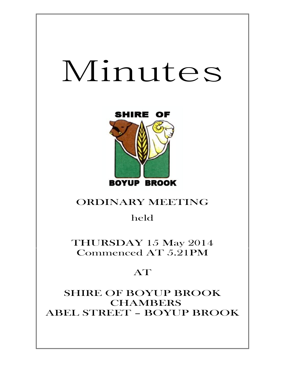# Minutes



# ORDINARY MEETING

held

THURSDAY 15 May 2014 Commenced AT 5.21PM

# AT

SHIRE OF BOYUP BROOK **CHAMBERS** ABEL STREET – BOYUP BROOK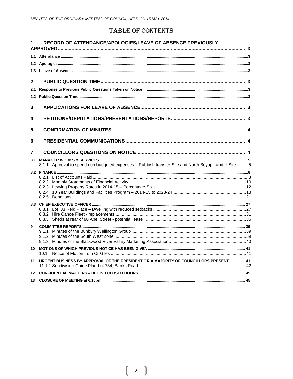## **TABLE OF CONTENTS**

|              | RECORD OF ATTENDANCE/APOLOGIES/LEAVE OF ABSENCE PREVIOUSLY                                           |  |
|--------------|------------------------------------------------------------------------------------------------------|--|
|              |                                                                                                      |  |
|              |                                                                                                      |  |
| 1.3          |                                                                                                      |  |
| $\mathbf{2}$ |                                                                                                      |  |
| 2.1          |                                                                                                      |  |
| 2.2          |                                                                                                      |  |
| 3            |                                                                                                      |  |
| 4            |                                                                                                      |  |
| 5            |                                                                                                      |  |
| 6            |                                                                                                      |  |
| 7            |                                                                                                      |  |
|              |                                                                                                      |  |
|              | 8.1.1 Approval to spend non budgeted expenses - Rubbish transfer Site and North Boyup Landfill Site5 |  |
|              |                                                                                                      |  |
|              |                                                                                                      |  |
|              |                                                                                                      |  |
|              |                                                                                                      |  |
|              |                                                                                                      |  |
|              |                                                                                                      |  |
|              |                                                                                                      |  |
|              |                                                                                                      |  |
| 9            |                                                                                                      |  |
|              |                                                                                                      |  |
|              |                                                                                                      |  |
|              | 10.1                                                                                                 |  |
| 11           | URGENT BUSINESS BY APPROVAL OF THE PRESIDENT OR A MAJORITY OF COUNCILLORS PRESENT  41                |  |
|              |                                                                                                      |  |
|              |                                                                                                      |  |
|              |                                                                                                      |  |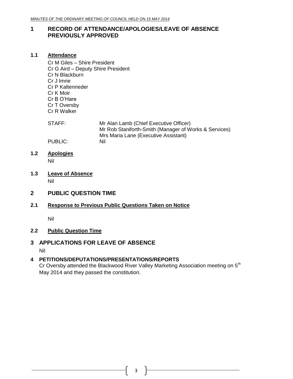#### <span id="page-2-0"></span>**1 RECORD OF ATTENDANCE/APOLOGIES/LEAVE OF ABSENCE PREVIOUSLY APPROVED**

#### <span id="page-2-1"></span>**1.1 Attendance**

Cr M Giles – Shire President Cr G Aird – Deputy Shire President Cr N Blackburn Cr J Imrie Cr P Kaltenrieder Cr K Moir Cr B O'Hare Cr T Oversby Cr R Walker

STAFF: Mr Alan Lamb (Chief Executive Officer) Mr Rob Staniforth-Smith (Manager of Works & Services) Mrs Maria Lane (Executive Assistant) PUBLIC: Nil

# <span id="page-2-2"></span>**1.2 Apologies**

Nil

<span id="page-2-3"></span>**1.3 Leave of Absence** Nil

#### <span id="page-2-4"></span>**2 PUBLIC QUESTION TIME**

#### <span id="page-2-5"></span>**2.1 Response to Previous Public Questions Taken on Notice**

Nil

#### <span id="page-2-6"></span>**2.2 Public Question Time**

#### <span id="page-2-7"></span>**3 APPLICATIONS FOR LEAVE OF ABSENCE**

Nil

#### <span id="page-2-8"></span>**4 PETITIONS/DEPUTATIONS/PRESENTATIONS/REPORTS**

Cr Oversby attended the Blackwood River Valley Marketing Association meeting on 5<sup>th</sup> May 2014 and they passed the constitution.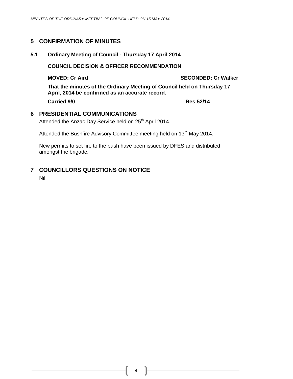#### <span id="page-3-0"></span>**5 CONFIRMATION OF MINUTES**

#### **5.1 Ordinary Meeting of Council - Thursday 17 April 2014**

#### **COUNCIL DECISION & OFFICER RECOMMENDATION**

**MOVED: Cr Aird SECONDED: Cr Walker**

**That the minutes of the Ordinary Meeting of Council held on Thursday 17 April, 2014 be confirmed as an accurate record.**

**Carried 9/0 Res 52/14**

#### <span id="page-3-1"></span>**6 PRESIDENTIAL COMMUNICATIONS**

Attended the Anzac Day Service held on 25<sup>th</sup> April 2014.

Attended the Bushfire Advisory Committee meeting held on 13<sup>th</sup> May 2014.

New permits to set fire to the bush have been issued by DFES and distributed amongst the brigade.

#### <span id="page-3-2"></span>**7 COUNCILLORS QUESTIONS ON NOTICE**

Nil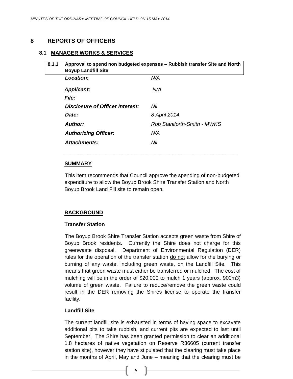### <span id="page-4-0"></span>**8 REPORTS OF OFFICERS**

#### <span id="page-4-1"></span>**8.1 MANAGER WORKS & SERVICES**

| Approval to spend non budgeted expenses – Rubbish transfer Site and North<br><b>Boyup Landfill Site</b> |                             |  |
|---------------------------------------------------------------------------------------------------------|-----------------------------|--|
| Location:                                                                                               | N/A                         |  |
| <b>Applicant:</b>                                                                                       | N/A                         |  |
| <b>File:</b>                                                                                            |                             |  |
| Disclosure of Officer Interest:                                                                         | Nil                         |  |
| Date:                                                                                                   | 8 April 2014                |  |
| <b>Author:</b>                                                                                          | Rob Staniforth-Smith - MWKS |  |
| <b>Authorizing Officer:</b>                                                                             | N/A                         |  |
| Attachments:                                                                                            | Nil                         |  |

#### **SUMMARY**

This item recommends that Council approve the spending of non-budgeted expenditure to allow the Boyup Brook Shire Transfer Station and North Boyup Brook Land Fill site to remain open.

#### **BACKGROUND**

#### **Transfer Station**

The Boyup Brook Shire Transfer Station accepts green waste from Shire of Boyup Brook residents. Currently the Shire does not charge for this greenwaste disposal. Department of Environmental Regulation (DER) rules for the operation of the transfer station do not allow for the burying or burning of any waste, including green waste, on the Landfill Site. This means that green waste must either be transferred or mulched. The cost of mulching will be in the order of \$20,000 to mulch 1 years (approx. 900m3) volume of green waste. Failure to reduce/remove the green waste could result in the DER removing the Shires license to operate the transfer facility.

#### **Landfill Site**

The current landfill site is exhausted in terms of having space to excavate additional pits to take rubbish, and current pits are expected to last until September. The Shire has been granted permission to clear an additional 1.8 hectares of native vegetation on Reserve R36605 (current transfer station site), however they have stipulated that the clearing must take place in the months of April, May and June – meaning that the clearing must be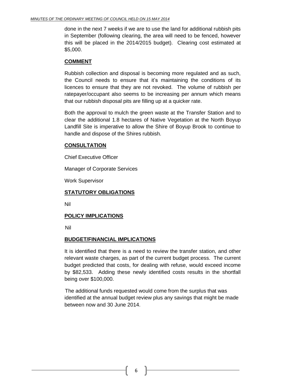done in the next 7 weeks if we are to use the land for additional rubbish pits in September (following clearing, the area will need to be fenced, however this will be placed in the 2014/2015 budget). Clearing cost estimated at \$5,000.

#### **COMMENT**

Rubbish collection and disposal is becoming more regulated and as such, the Council needs to ensure that it's maintaining the conditions of its licences to ensure that they are not revoked. The volume of rubbish per ratepayer/occupant also seems to be increasing per annum which means that our rubbish disposal pits are filling up at a quicker rate.

Both the approval to mulch the green waste at the Transfer Station and to clear the additional 1.8 hectares of Native Vegetation at the North Boyup Landfill Site is imperative to allow the Shire of Boyup Brook to continue to handle and dispose of the Shires rubbish.

#### **CONSULTATION**

Chief Executive Officer

Manager of Corporate Services

Work Supervisor

#### **STATUTORY OBLIGATIONS**

Nil

#### **POLICY IMPLICATIONS**

Nil

#### **BUDGET/FINANCIAL IMPLICATIONS**

It is identified that there is a need to review the transfer station, and other relevant waste charges, as part of the current budget process. The current budget predicted that costs, for dealing with refuse, would exceed income by \$82,533. Adding these newly identified costs results in the shortfall being over \$100,000.

The additional funds requested would come from the surplus that was identified at the annual budget review plus any savings that might be made between now and 30 June 2014.

6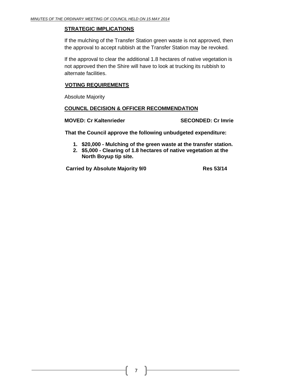#### **STRATEGIC IMPLICATIONS**

If the mulching of the Transfer Station green waste is not approved, then the approval to accept rubbish at the Transfer Station may be revoked.

If the approval to clear the additional 1.8 hectares of native vegetation is not approved then the Shire will have to look at trucking its rubbish to alternate facilities.

#### **VOTING REQUIREMENTS**

Absolute Majority

#### **COUNCIL DECISION & OFFICER RECOMMENDATION**

#### **MOVED: Cr Kaltenrieder SECONDED: Cr Imrie**

**That the Council approve the following unbudgeted expenditure:**

- **1. \$20,000 - Mulching of the green waste at the transfer station.**
- **2. \$5,000 - Clearing of 1.8 hectares of native vegetation at the North Boyup tip site.**

**Carried by Absolute Majority 9/0 Res 53/14**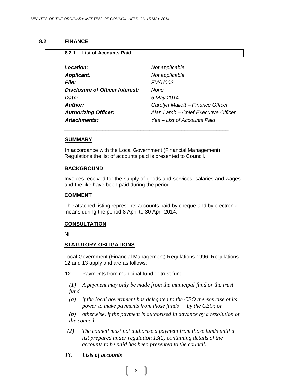<span id="page-7-1"></span><span id="page-7-0"></span>**8.2.1 List of Accounts Paid**

#### **8.2 FINANCE**

| Location:                       | Not applicable                      |
|---------------------------------|-------------------------------------|
| <b>Applicant:</b>               | Not applicable                      |
| File:                           | FM/1/002                            |
| Disclosure of Officer Interest: | None                                |
| Date:                           | 6 May 2014                          |
| Author:                         | Carolyn Mallett - Finance Officer   |
| <b>Authorizing Officer:</b>     | Alan Lamb - Chief Executive Officer |
| Attachments:                    | Yes – List of Accounts Paid         |

#### **SUMMARY**

In accordance with the Local Government (Financial Management) Regulations the list of accounts paid is presented to Council.

#### **BACKGROUND**

Invoices received for the supply of goods and services, salaries and wages and the like have been paid during the period.

#### **COMMENT**

The attached listing represents accounts paid by cheque and by electronic means during the period 8 April to 30 April 2014.

#### **CONSULTATION**

Nil

#### **STATUTORY OBLIGATIONS**

Local Government (Financial Management) Regulations 1996, Regulations 12 and 13 apply and are as follows:

12. Payments from municipal fund or trust fund

*(1) A payment may only be made from the municipal fund or the trust fund —*

*(a) if the local government has delegated to the CEO the exercise of its power to make payments from those funds — by the CEO; or*

*(b) otherwise, if the payment is authorised in advance by a resolution of the council.*

 *(2) The council must not authorise a payment from those funds until a list prepared under regulation 13(2) containing details of the accounts to be paid has been presented to the council.*

#### *13. Lists of accounts*

8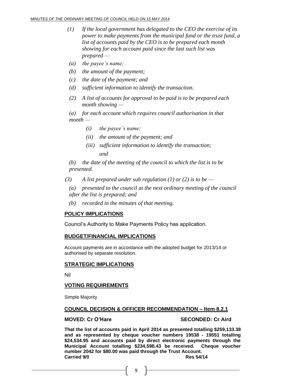- *(1) If the local government has delegated to the CEO the exercise of its power to make payments from the municipal fund or the trust fund, a list of accounts paid by the CEO is to be prepared each month showing for each account paid since the last such list was prepared —*
- *(a) the payee's name;*
- *(b) the amount of the payment;*
- *(c) the date of the payment; and*
- *(d) sufficient information to identify the transaction.*
- *(2) A list of accounts for approval to be paid is to be prepared each month showing —*

*(a) for each account which requires council authorisation in that month —*

- *(i) the payee's name;*
- *(ii) the amount of the payment; and*
- *(iii) sufficient information to identify the transaction; and*

*(b) the date of the meeting of the council to which the list is to be presented.*

- *(3) A list prepared under sub regulation (1) or (2) is to be —*
	- *(a) presented to the council at the next ordinary meeting of the council after the list is prepared; and*
	- *(b) recorded in the minutes of that meeting.*

#### **POLICY IMPLICATIONS**

Council's Authority to Make Payments Policy has application.

#### **BUDGET/FINANCIAL IMPLICATIONS**

Account payments are in accordance with the adopted budget for 2013/14 or authorised by separate resolution.

#### **STRATEGIC IMPLICATIONS**

Nil

#### **VOTING REQUIREMENTS**

Simple Majority

#### **COUNCIL DECISION & OFFICER RECOMMENDATION – Item 8.2.1**

#### **MOVED: Cr O'Hare SECONDED: Cr Aird**

**That the list of accounts paid in April 2014 as presented totalling \$259,133.38 and as represented by cheque voucher numbers 19538 - 19551 totalling \$24,534.95 and accounts paid by direct electronic payments through the Municipal Account totalling \$234,598.43 be received. Cheque voucher number 2042 for \$80.00 was paid through the Trust Account. Carried 9/0 Res 54/14**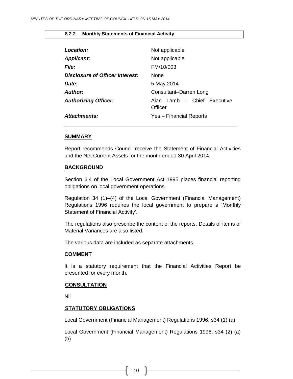#### <span id="page-9-0"></span>**8.2.2 Monthly Statements of Financial Activity**

| <b>Location:</b>                | Not applicable                         |
|---------------------------------|----------------------------------------|
| <b>Applicant:</b>               | Not applicable                         |
| <b>File:</b>                    | FM/10/003                              |
| Disclosure of Officer Interest: | <b>None</b>                            |
| Date:                           | 5 May 2014                             |
| <b>Author:</b>                  | Consultant-Darren Long                 |
| <b>Authorizing Officer:</b>     | Alan Lamb - Chief Executive<br>Officer |
| Attachments:                    | Yes - Financial Reports                |

#### **SUMMARY**

Report recommends Council receive the Statement of Financial Activities and the Net Current Assets for the month ended 30 April 2014.

*\_\_\_\_\_\_\_\_\_\_\_\_\_\_\_\_\_\_\_\_\_\_\_\_\_\_\_\_\_\_\_\_\_\_\_\_\_\_\_\_\_\_\_\_\_\_\_\_\_\_\_\_\_\_\_\_\_\_\_\_\_\_\_\_\_\_*

#### **BACKGROUND**

Section 6.4 of the Local Government Act 1995 places financial reporting obligations on local government operations.

Regulation 34 (1)–(4) of the Local Government (Financial Management) Regulations 1996 requires the local government to prepare a 'Monthly Statement of Financial Activity'.

The regulations also prescribe the content of the reports. Details of items of Material Variances are also listed.

The various data are included as separate attachments.

#### **COMMENT**

It is a statutory requirement that the Financial Activities Report be presented for every month.

#### **CONSULTATION**

Nil

#### **STATUTORY OBLIGATIONS**

Local Government (Financial Management) Regulations 1996, s34 (1) (a)

Local Government (Financial Management) Regulations 1996, s34 (2) (a) (b)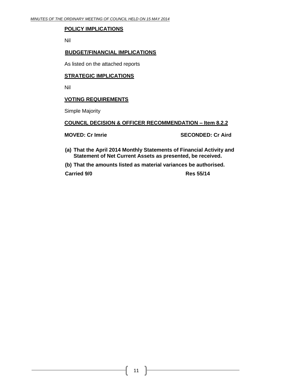#### **POLICY IMPLICATIONS**

Nil

#### **BUDGET/FINANCIAL IMPLICATIONS**

As listed on the attached reports

#### **STRATEGIC IMPLICATIONS**

Nil

#### **VOTING REQUIREMENTS**

Simple Majority

#### **COUNCIL DECISION & OFFICER RECOMMENDATION – Item 8.2.2**

**MOVED: Cr Imrie SECONDED: Cr Aird**

**(a) That the April 2014 Monthly Statements of Financial Activity and Statement of Net Current Assets as presented, be received.**

**(b) That the amounts listed as material variances be authorised.**

**Carried 9/0 Res 55/14**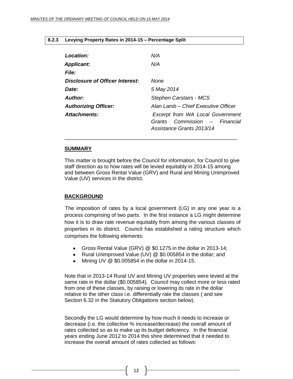#### <span id="page-11-0"></span>**8.2.3 Levying Property Rates in 2014-15 – Percentage Split**

| Location:                       | N/A                                                                                                      |
|---------------------------------|----------------------------------------------------------------------------------------------------------|
| <b>Applicant:</b>               | N/A                                                                                                      |
| <b>File:</b>                    |                                                                                                          |
| Disclosure of Officer Interest: | None                                                                                                     |
| Date:                           | 5 May 2014                                                                                               |
| Author:                         | <b>Stephen Carstairs - MCS</b>                                                                           |
| <b>Authorizing Officer:</b>     | Alan Lamb – Chief Executive Officer                                                                      |
| Attachments:                    | <b>Excerpt from WA Local Government</b><br>Commission – Financial<br>Grants<br>Assistance Grants 2013/14 |

#### **SUMMARY**

This matter is brought before the Council for information, for Council to give staff direction as to how rates will be levied equitably in 2014-15 among and between Gross Rental Value (GRV) and Rural and Mining Unimproved Value (UV) services in the district.

\_\_\_\_\_\_\_\_\_\_\_\_\_\_\_\_\_\_\_\_\_\_\_\_\_\_\_\_\_\_\_\_\_\_\_\_\_\_\_\_\_\_\_\_\_\_\_\_\_\_\_\_\_\_\_\_\_\_\_

#### **BACKGROUND**

The imposition of rates by a local government (LG) in any one year is a process comprising of two parts. In the first instance a LG might determine how it is to draw rate revenue equitably from among the various classes of properties in its district. Council has established a rating structure which comprises the following elements:

- Gross Rental Value (GRV) @ \$0.1275 in the dollar in 2013-14;
- Rural Unimproved Value (UV) @ \$0.005854 in the dollar; and
- $\bullet$  Mining UV @ \$0.005854 in the dollar in 2014-15.

Note that in 2013-14 Rural UV and Mining UV properties were levied at the same rate in the dollar (\$0.005854). Council may collect more or less rated from one of these classes, by raising or lowering its rate in the dollar relative to the other class i.e. differentially rate the classes ( and see Section 6.32 in the Statutory Obligations section below).

Secondly the LG would determine by how much it needs to increase or decrease (i.e. the collective % increase/decrease) the overall amount of rates collected so as to make up its budget deficiency. In the financial years ending June 2012 to 2014 this shire determined that it needed to increase the overall amount of rates collected as follows: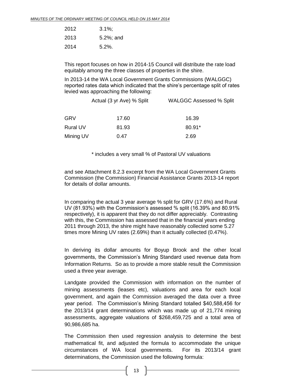| 2012 | $3.1\%$   |
|------|-----------|
| 2013 | 5.2%; and |
| 2014 | $5.2\%$ . |

This report focuses on how in 2014-15 Council will distribute the rate load equitably among the three classes of properties in the shire.

In 2013-14 the WA Local Government Grants Commissions (WALGGC) reported rates data which indicated that the shire's percentage split of rates levied was approaching the following:

|                 | Actual (3 yr Ave) % Split | <b>WALGGC Assessed % Split</b> |  |
|-----------------|---------------------------|--------------------------------|--|
| <b>GRV</b>      | 17.60                     | 16.39                          |  |
| <b>Rural UV</b> | 81.93                     | 80.91*                         |  |
| Mining UV       | 0.47                      | 2.69                           |  |

\* includes a very small % of Pastoral UV valuations

and see Attachment 8.2.3 excerpt from the WA Local Government Grants Commission (the Commission) Financial Assistance Grants 2013-14 report for details of dollar amounts.

In comparing the actual 3 year average % split for GRV (17.6%) and Rural UV (81.93%) with the Commission's assessed % split (16.39% and 80.91% respectively), it is apparent that they do not differ appreciably. Contrasting with this, the Commission has assessed that in the financial years ending 2011 through 2013, the shire might have reasonably collected some 5.27 times more Mining UV rates (2.69%) than it actually collected (0.47%).

In deriving its dollar amounts for Boyup Brook and the other local governments, the Commission's Mining Standard used revenue data from Information Returns. So as to provide a more stable result the Commission used a three year average.

Landgate provided the Commission with information on the number of mining assessments (leases etc), valuations and area for each local government, and again the Commission averaged the data over a three year period. The Commission's Mining Standard totalled \$40,588,456 for the 2013/14 grant determinations which was made up of 21,774 mining assessments, aggregate valuations of \$268,459,725 and a total area of 90,986,685 ha.

The Commission then used regression analysis to determine the best mathematical fit, and adjusted the formula to accommodate the unique circumstances of WA local governments. For its 2013/14 grant determinations, the Commission used the following formula: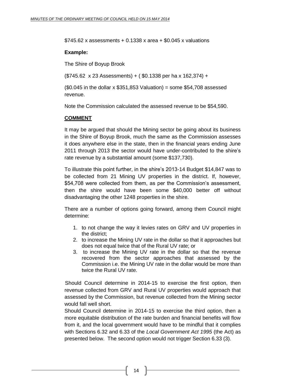$$745.62$  x assessments + 0.1338 x area +  $$0.045$  x valuations

#### **Example:**

The Shire of Boyup Brook

(\$745.62 x 23 Assessments) + ( \$0.1338 per ha x 162,374) +

 $$0.045$  in the dollar x \$351,853 Valuation) = some \$54,708 assessed revenue.

Note the Commission calculated the assessed revenue to be \$54,590.

#### **COMMENT**

It may be argued that should the Mining sector be going about its business in the Shire of Boyup Brook, much the same as the Commission assesses it does anywhere else in the state, then in the financial years ending June 2011 through 2013 the sector would have under-contributed to the shire's rate revenue by a substantial amount (some \$137,730).

To illustrate this point further, in the shire's 2013-14 Budget \$14,847 was to be collected from 21 Mining UV properties in the district. If, however, \$54,708 were collected from them, as per the Commission's assessment, then the shire would have been some \$40,000 better off without disadvantaging the other 1248 properties in the shire.

There are a number of options going forward, among them Council might determine:

- 1. to not change the way it levies rates on GRV and UV properties in the district;
- 2. to increase the Mining UV rate in the dollar so that it approaches but does not equal twice that of the Rural UV rate; or
- 3. to increase the Mining UV rate in the dollar so that the revenue recovered from the sector approaches that assessed by the Commission i.e. the Mining UV rate in the dollar would be more than twice the Rural UV rate.

Should Council determine in 2014-15 to exercise the first option, then revenue collected from GRV and Rural UV properties would approach that assessed by the Commission, but revenue collected from the Mining sector would fall well short.

Should Council determine in 2014-15 to exercise the third option, then a more equitable distribution of the rate burden and financial benefits will flow from it, and the local government would have to be mindful that it complies with Sections 6.32 and 6.33 of the *Local Government Act 1995* (the Act) as presented below. The second option would not trigger Section 6.33 (3).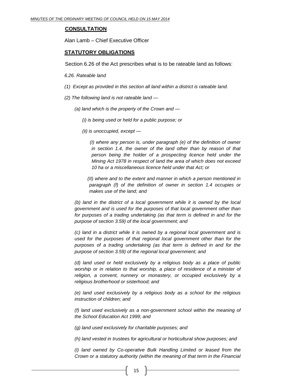#### **CONSULTATION**

Alan Lamb – Chief Executive Officer

#### **STATUTORY OBLIGATIONS**

Section 6.26 of the Act prescribes what is to be rateable land as follows:

*6.26. Rateable land*

- *(1) Except as provided in this section all land within a district is rateable land.*
- *(2) The following land is not rateable land —*
	- *(a) land which is the property of the Crown and —*
		- *(i) is being used or held for a public purpose; or*
		- *(ii) is unoccupied, except —*

*(I) where any person is, under paragraph (e) of the definition of owner in section 1.4, the owner of the land other than by reason of that person being the holder of a prospecting licence held under the Mining Act 1978 in respect of land the area of which does not exceed 10 ha or a miscellaneous licence held under that Act; or*

*(II) where and to the extent and manner in which a person mentioned in paragraph (f) of the definition of owner in section 1.4 occupies or makes use of the land; and*

*(b) land in the district of a local government while it is owned by the local government and is used for the purposes of that local government other than for purposes of a trading undertaking (as that term is defined in and for the purpose of section 3.59) of the local government; and*

*(c) land in a district while it is owned by a regional local government and is used for the purposes of that regional local government other than for the purposes of a trading undertaking (as that term is defined in and for the purpose of section 3.59) of the regional local government; and*

*(d) land used or held exclusively by a religious body as a place of public worship or in relation to that worship, a place of residence of a minister of religion, a convent, nunnery or monastery, or occupied exclusively by a religious brotherhood or sisterhood; and*

*(e) land used exclusively by a religious body as a school for the religious instruction of children; and*

*(f) land used exclusively as a non-government school within the meaning of the School Education Act 1999; and*

*(g) land used exclusively for charitable purposes; and*

*(h) land vested in trustees for agricultural or horticultural show purposes; and*

*(i) land owned by Co-operative Bulk Handling Limited or leased from the Crown or a statutory authority (within the meaning of that term in the Financial*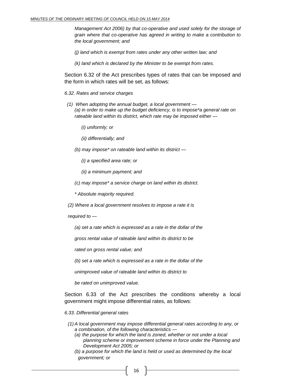*Management Act 2006) by that co-operative and used solely for the storage of grain where that co-operative has agreed in writing to make a contribution to the local government; and*

*(j) land which is exempt from rates under any other written law; and*

*(k) land which is declared by the Minister to be exempt from rates.*

Section 6.32 of the Act prescribes types of rates that can be imposed and the form in which rates will be set, as follows:

*6.32. Rates and service charges*

*(1) When adopting the annual budget, a local government — (a) in order to make up the budget deficiency, is to impose\*a general rate on rateable land within its district, which rate may be imposed either —*

*(i) uniformly; or*

*(ii) differentially; and*

*(b) may impose\* on rateable land within its district —*

*(i) a specified area rate; or*

*(ii) a minimum payment; and*

*(c) may impose\* a service charge on land within its district.*

*\* Absolute majority required.*

*(2) Where a local government resolves to impose a rate it is*

*required to —*

*(a) set a rate which is expressed as a rate in the dollar of the*

*gross rental value of rateable land within its district to be*

*rated on gross rental value; and*

*(b) set a rate which is expressed as a rate in the dollar of the*

*unimproved value of rateable land within its district to*

*be rated on unimproved value.*

Section 6.33 of the Act prescribes the conditions whereby a local government might impose differential rates, as follows:

*6.33. Differential general rates*

- *(1) A local government may impose differential general rates according to any, or a combination, of the following characteristics —*
	- *(a) the purpose for which the land is zoned, whether or not under a local planning scheme or improvement scheme in force under the Planning and Development Act 2005; or*
	- *(b) a purpose for which the land is held or used as determined by the local government; or*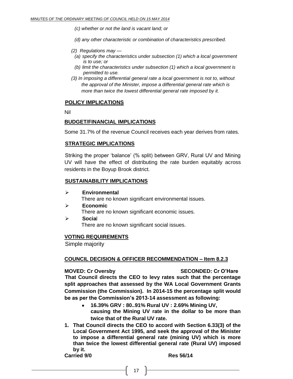*(c) whether or not the land is vacant land; or*

*(d) any other characteristic or combination of characteristics prescribed.*

- *(2) Regulations may —*
	- *(a) specify the characteristics under subsection (1) which a local government is to use; or*
	- *(b) limit the characteristics under subsection (1) which a local government is permitted to use.*
- *(3) In imposing a differential general rate a local government is not to, without the approval of the Minister, impose a differential general rate which is more than twice the lowest differential general rate imposed by it.*

#### **POLICY IMPLICATIONS**

Nil

#### **BUDGET/FINANCIAL IMPLICATIONS**

Some 31.7% of the revenue Council receives each year derives from rates.

#### **STRATEGIC IMPLICATIONS**

Striking the proper 'balance' (% split) between GRV, Rural UV and Mining UV will have the effect of distributing the rate burden equitably across residents in the Boyup Brook district.

#### **SUSTAINABILITY IMPLICATIONS**

- **Environmental** There are no known significant environmental issues.
- **Economic** There are no known significant economic issues.
- **Socia**l There are no known significant social issues.

#### **VOTING REQUIREMENTS**

Simple majority

#### **COUNCIL DECISION & OFFICER RECOMMENDATION – Item 8.2.3**

**MOVED: Cr Oversby SECONDED: Cr O'Hare**

**That Council directs the CEO to levy rates such that the percentage split approaches that assessed by the WA Local Government Grants Commission (the Commission). In 2014-15 the percentage split would be as per the Commission's 2013-14 assessment as following:**

- **16.39% GRV : 80..91% Rural UV : 2.69% Mining UV, causing the Mining UV rate in the dollar to be more than twice that of the Rural UV rate.**
- **1. That Council directs the CEO to accord with Section 6.33(3) of the Local Government Act 1995, and seek the approval of the Minister to impose a differential general rate (mining UV) which is more than twice the lowest differential general rate (Rural UV) imposed by it. Carried 9/0 Res 56/14**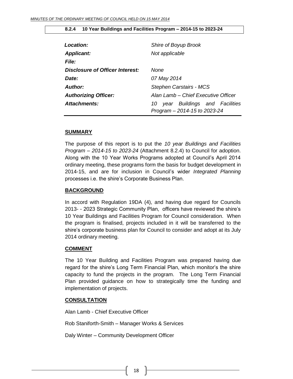| Location:<br><b>Applicant:</b>  | Shire of Boyup Brook<br>Not applicable                              |
|---------------------------------|---------------------------------------------------------------------|
| <b>File:</b>                    |                                                                     |
| Disclosure of Officer Interest: | None                                                                |
| Date:                           | 07 May 2014                                                         |
| <b>Author:</b>                  | <b>Stephen Carstairs - MCS</b>                                      |
| <b>Authorizing Officer:</b>     | Alan Lamb – Chief Executive Officer                                 |
| Attachments:                    | year Buildings and Facilities<br>10<br>Program - 2014-15 to 2023-24 |

#### <span id="page-17-0"></span>**8.2.4 10 Year Buildings and Facilities Program – 2014-15 to 2023-24**

#### **SUMMARY**

The purpose of this report is to put the *10 year Buildings and Facilities Program – 2014-15 to 2023-24* (Attachment 8.2.4) to Council for adoption. Along with the 10 Year Works Programs adopted at Council's April 2014 ordinary meeting, these programs form the basis for budget development in 2014-15, and are for inclusion in Council's wider *Integrated Planning* processes i.e. the shire's Corporate Business Plan.

#### **BACKGROUND**

In accord with Regulation 19DA (4), and having due regard for Councils 2013- - 2023 Strategic Community Plan, officers have reviewed the shire's 10 Year Buildings and Facilities Program for Council consideration. When the program is finalised, projects included in it will be transferred to the shire's corporate business plan for Council to consider and adopt at its July 2014 ordinary meeting.

#### **COMMENT**

The 10 Year Building and Facilities Program was prepared having due regard for the shire's Long Term Financial Plan, which monitor's the shire capacity to fund the projects in the program. The Long Term Financial Plan provided guidance on how to strategically time the funding and implementation of projects.

#### **CONSULTATION**

Alan Lamb - Chief Executive Officer

Rob Staniforth-Smith – Manager Works & Services

Daly Winter – Community Development Officer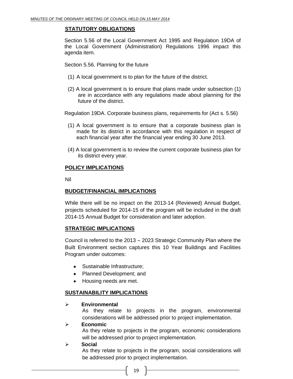#### **STATUTORY OBLIGATIONS**

Section 5.56 of the Local Government Act 1995 and Regulation 19DA of the Local Government (Administration) Regulations 1996 impact this agenda item.

Section 5.56. Planning for the future

- (1) A local government is to plan for the future of the district.
- (2) A local government is to ensure that plans made under subsection (1) are in accordance with any regulations made about planning for the future of the district.

Regulation 19DA. Corporate business plans, requirements for (Act s. 5.56)

- (1) A local government is to ensure that a corporate business plan is made for its district in accordance with this regulation in respect of each financial year after the financial year ending 30 June 2013.
- (4) A local government is to review the current corporate business plan for its district every year.

#### **POLICY IMPLICATIONS**

Nil

#### **BUDGET/FINANCIAL IMPLICATIONS**

While there will be no impact on the 2013-14 (Reviewed) Annual Budget, projects scheduled for 2014-15 of the program will be included in the draft 2014-15 Annual Budget for consideration and later adoption.

#### **STRATEGIC IMPLICATIONS**

Council is referred to the 2013 – 2023 Strategic Community Plan where the Built Environment section captures this 10 Year Buildings and Facilities Program under outcomes:

- Sustainable Infrastructure;
- Planned Development; and
- Housing needs are met.

#### **SUSTAINABILITY IMPLICATIONS**

#### **Environmental**

As they relate to projects in the program, environmental considerations will be addressed prior to project implementation.

#### **Economic**

As they relate to projects in the program, economic considerations will be addressed prior to project implementation.

#### **Social**

As they relate to projects in the program, social considerations will be addressed prior to project implementation.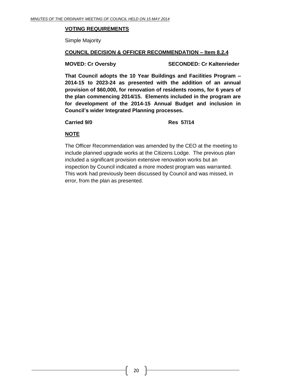#### **VOTING REQUIREMENTS**

Simple Majority

#### **COUNCIL DECISION & OFFICER RECOMMENDATION – Item 8.2.4**

**MOVED: Cr Oversby SECONDED: Cr Kaltenrieder**

**That Council adopts the 10 Year Buildings and Facilities Program – 2014-15 to 2023-24 as presented with the addition of an annual provision of \$60,000, for renovation of residents rooms, for 6 years of the plan commencing 2014/15. Elements included in the program are for development of the 2014-15 Annual Budget and inclusion in Council's wider Integrated Planning processes.**

**Carried 9/0 Res 57/14**

#### **NOTE**

The Officer Recommendation was amended by the CEO at the meeting to include planned upgrade works at the Citizens Lodge. The previous plan included a significant provision extensive renovation works but an inspection by Council indicated a more modest program was warranted. This work had previously been discussed by Council and was missed, in error, from the plan as presented.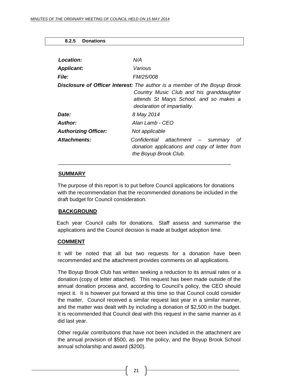#### <span id="page-20-0"></span>**8.2.5 Donations**

| Location:                   | N/A                                                                                                                                                                                                     |
|-----------------------------|---------------------------------------------------------------------------------------------------------------------------------------------------------------------------------------------------------|
| <b>Applicant:</b>           | Various                                                                                                                                                                                                 |
| <b>File:</b>                | <i>FM/25/008</i>                                                                                                                                                                                        |
|                             | <b>Disclosure of Officer Interest:</b> The author is a member of the Boyup Brook<br>Country Music Club and his granddaughter<br>attends St Marys School, and so makes a<br>declaration of impartiality. |
| <i>Date:</i>                | 8 May 2014                                                                                                                                                                                              |
| Author:                     | Alan Lamb - CEO                                                                                                                                                                                         |
| <b>Authorizing Officer:</b> | Not applicable                                                                                                                                                                                          |
| Attachments:                | Confidential attachment - summary<br>οf<br>donation applications and copy of letter from<br>the Boyup Brook Club.                                                                                       |

#### **SUMMARY**

The purpose of this report is to put before Council applications for donations with the recommendation that the recommended donations be included in the draft budget for Council consideration.

 $\overline{\phantom{a}}$  ,  $\overline{\phantom{a}}$  ,  $\overline{\phantom{a}}$  ,  $\overline{\phantom{a}}$  ,  $\overline{\phantom{a}}$  ,  $\overline{\phantom{a}}$  ,  $\overline{\phantom{a}}$  ,  $\overline{\phantom{a}}$  ,  $\overline{\phantom{a}}$  ,  $\overline{\phantom{a}}$  ,  $\overline{\phantom{a}}$  ,  $\overline{\phantom{a}}$  ,  $\overline{\phantom{a}}$  ,  $\overline{\phantom{a}}$  ,  $\overline{\phantom{a}}$  ,  $\overline{\phantom{a}}$ 

#### **BACKGROUND**

 Each year Council calls for donations. Staff assess and summarise the applications and the Council decision is made at budget adoption time.

#### **COMMENT**

It will be noted that all but two requests for a donation have been recommended and the attachment provides comments on all applications.

The Boyup Brook Club has written seeking a reduction to its annual rates or a donation (copy of letter attached). This request has been made outside of the annual donation process and, according to Council's policy, the CEO should reject it. It is however put forward at this time so that Council could consider the matter. Council received a similar request last year in a similar manner, and the matter was dealt with by including a donation of \$2,500 in the budget. It is recommended that Council deal with this request in the same manner as it did last year.

Other regular contributions that have not been included in the attachment are the annual provision of \$500, as per the policy, and the Boyup Brook School annual scholarship and award (\$200).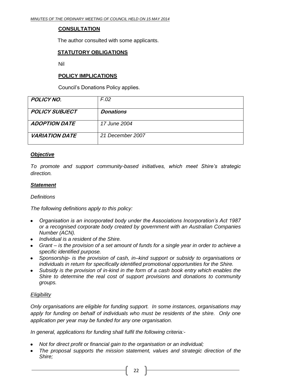#### **CONSULTATION**

The author consulted with some applicants.

#### **STATUTORY OBLIGATIONS**

Nil

#### **POLICY IMPLICATIONS**

Council's Donations Policy applies.

| <b>POLICY NO.</b>     | F.02             |
|-----------------------|------------------|
| <b>POLICY SUBJECT</b> | <b>Donations</b> |
|                       |                  |
| <b>ADOPTION DATE</b>  | 17 June 2004     |
| <b>VARIATION DATE</b> | 21 December 2007 |

#### *Objective*

*To promote and support community-based initiatives, which meet Shire's strategic direction.*

#### *Statement*

#### *Definitions*

*The following definitions apply to this policy:*

- *Organisation is an incorporated body under the Associations Incorporation's Act 1987 or a recognised corporate body created by government with an Australian Companies Number (ACN).*
- *Individual is a resident of the Shire.*
- *Grant – is the provision of a set amount of funds for a single year in order to achieve a specific identified purpose.*
- *Sponsorship- is the provision of cash, in–kind support or subsidy to organisations or individuals in return for specifically identified promotional opportunities for the Shire.*
- *Subsidy is the provision of in-kind in the form of a cash book entry which enables the Shire to determine the real cost of support provisions and donations to community groups.*

#### *Eligibility*

*Only organisations are eligible for funding support. In some instances, organisations may apply for funding on behalf of individuals who must be residents of the shire. Only one application per year may be funded for any one organisation.* 

*In general, applications for funding shall fulfil the following criteria:-*

- *Not for direct profit or financial gain to the organisation or an individual;*
- *The proposal supports the mission statement, values and strategic direction of the Shire;*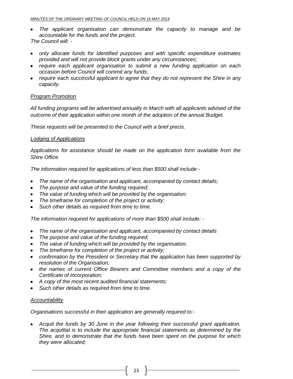- *The applicant organisation can demonstrate the capacity to manage and be accountable for the funds and the project.*
- *The Council will: -*
- *only allocate funds for identified purposes and with specific expenditure estimates provided and will not provide block grants under any circumstances;*
- *require each applicant organisation to submit a new funding application on each occasion before Council will commit any funds;*
- *require each successful applicant to agree that they do not represent the Shire in any capacity.*

#### *Program Promotion*

*All funding programs will be advertised annually in March with all applicants advised of the outcome of their application within one month of the adoption of the annual Budget.*

*These requests will be presented to the Council with a brief precis.* 

#### *Lodging of Applications*

*Applications for assistance should be made on the application form available from the Shire Office.*

*The information required for applications of less than \$500 shall include:-*

- *The name of the organisation and applicant, accompanied by contact details;*
- *The purpose and value of the funding required;*
- *The value of funding which will be provided by the organisation;*
- *The timeframe for completion of the project or activity;*
- *Such other details as required from time to time.*

*The information required for applications of more than \$500 shall include: -*

- *The name of the organisation and applicant, accompanied by contact details*  $\bullet$
- *The purpose and value of the funding required;*
- *The value of funding which will be provided by the organisation;*
- *The timeframe for completion of the project or activity;*
- *confirmation by the President or Secretary that the application has been supported by resolution of the Organisation;*
- *the names of current Office Bearers and Committee members and a copy of the Certificate of Incorporation;*
- *A copy of the most recent audited financial statements;*
- *Such other details as required from time to time.*

#### *Accountability*

*Organisations successful in their application are generally required to:-*

*Acquit the funds by 30 June in the year following their successful grant application. The acquittal is to include the appropriate financial statements as determined by the Shire, and to demonstrate that the funds have been spent on the purpose for which they were allocated;*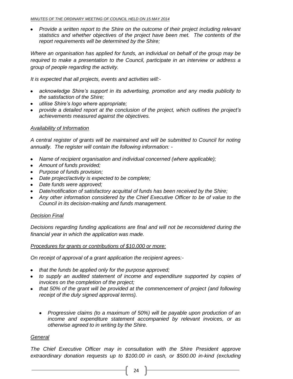• Provide a written report to the Shire on the outcome of their project including relevant *statistics and whether objectives of the project have been met. The contents of the report requirements will be determined by the Shire;*

*Where an organisation has applied for funds, an individual on behalf of the group may be required to make a presentation to the Council, participate in an interview or address a group of people regarding the activity.*

*It is expected that all projects, events and activities will:-*

- *acknowledge Shire's support in its advertising, promotion and any media publicity to the satisfaction of the Shire;*
- *utilise Shire's logo where appropriate;*
- *provide a detailed report at the conclusion of the project, which outlines the project's achievements measured against the objectives.*

#### *Availability of Information*

*A central register of grants will be maintained and will be submitted to Council for noting annually. The register will contain the following information: -*

- *Name of recipient organisation and individual concerned (where applicable);*
- *Amount of funds provided;*
- *Purpose of funds provision;*
- *Date project/activity is expected to be complete;*
- *Date funds were approved;*
- *Date/notification of satisfactory acquittal of funds has been received by the Shire;*
- *Any other information considered by the Chief Executive Officer to be of value to the Council in its decision-making and funds management.*

#### *Decision Final*

*Decisions regarding funding applications are final and will not be reconsidered during the financial year in which the application was made.*

#### *Procedures for grants or contributions of \$10,000 or more:*

*On receipt of approval of a grant application the recipient agrees:-*

- *that the funds be applied only for the purpose approved;*
- to supply an audited statement of income and expenditure supported by copies of *invoices on the completion of the project;*
- *that 50% of the grant will be provided at the commencement of project (and following receipt of the duly signed approval terms).*
	- *Progressive claims (to a maximum of 50%) will be payable upon production of an income and expenditure statement accompanied by relevant invoices, or as otherwise agreed to in writing by the Shire.*

#### *General*

*The Chief Executive Officer may in consultation with the Shire President approve extraordinary donation requests up to \$100.00 in cash, or \$500.00 in-kind (excluding*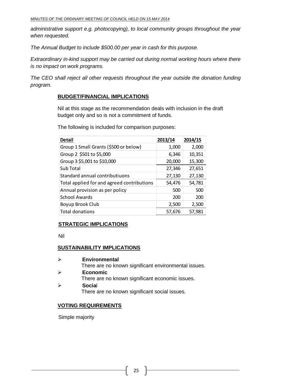*administrative support e.g. photocopying), to local community groups throughout the year when requested.*

*The Annual Budget to include \$500.00 per year in cash for this purpose.*

*Extraordinary in-kind support may be carried out during normal working hours where there is no impact on work programs.*

*The CEO shall reject all other requests throughout the year outside the donation funding program.*

#### **BUDGET/FINANCIAL IMPLICATIONS**

Nil at this stage as the recommendation deals with inclusion in the draft budget only and so is not a commitment of funds.

The following is included for comparison purposes:

| <b>Detail</b>                              | 2013/14 | 2014/15 |
|--------------------------------------------|---------|---------|
| Group 1 Small Grants (\$500 or below)      | 1,000   | 2,000   |
| Group 2 \$501 to \$5,000                   | 6,346   | 10,351  |
| Group 3 \$5,001 to \$10,000                | 20,000  | 15,300  |
| Sub Total                                  | 27,346  | 27,651  |
| Standard annual contributiuons             | 27,130  | 27,130  |
| Total applied for and agreed contributions | 54,476  | 54,781  |
| Annual provision as per policy             | 500     | 500     |
| <b>School Awards</b>                       | 200     | 200     |
| Boyup Brook Club                           | 2,500   | 2,500   |
| <b>Total donations</b>                     | 57,676  | 57,981  |

#### **STRATEGIC IMPLICATIONS**

Nil

#### **SUSTAINABILITY IMPLICATIONS**

 **Environmental** There are no known significant environmental issues. **Economic** There are no known significant economic issues. **Socia**l

There are no known significant social issues.

#### **VOTING REQUIREMENTS**

Simple majority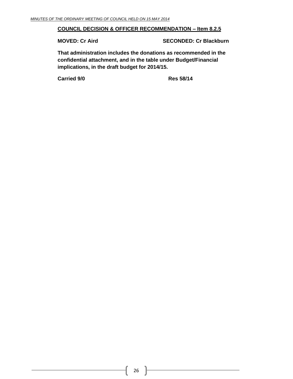#### **COUNCIL DECISION & OFFICER RECOMMENDATION – Item 8.2.5**

**MOVED: Cr Aird SECONDED: Cr Blackburn**

**That administration includes the donations as recommended in the confidential attachment, and in the table under Budget/Financial implications, in the draft budget for 2014/15.**

**Carried 9/0 Res 58/14**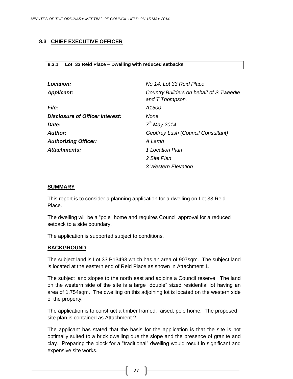#### <span id="page-26-0"></span>**8.3 CHIEF EXECUTIVE OFFICER**

#### <span id="page-26-1"></span>**8.3.1 Lot 33 Reid Place – Dwelling with reduced setbacks**

| Location:                       | No 14, Lot 33 Reid Place                                   |
|---------------------------------|------------------------------------------------------------|
| <b>Applicant:</b>               | Country Builders on behalf of S Tweedie<br>and T Thompson. |
| <b>File:</b>                    | A1500                                                      |
| Disclosure of Officer Interest: | None                                                       |
| Date:                           | $7th$ May 2014                                             |
| Author:                         | Geoffrey Lush (Council Consultant)                         |
| <b>Authorizing Officer:</b>     | A Lamb                                                     |
| Attachments:                    | 1 Location Plan                                            |
|                                 | 2 Site Plan                                                |
|                                 | 3 Western Elevation                                        |

#### **SUMMARY**

This report is to consider a planning application for a dwelling on Lot 33 Reid Place.

*\_\_\_\_\_\_\_\_\_\_\_\_\_\_\_\_\_\_\_\_\_\_\_\_\_\_\_\_\_\_\_\_\_\_\_\_\_\_\_\_\_\_\_\_\_\_\_\_\_\_\_\_\_\_\_\_\_\_\_*

The dwelling will be a "pole" home and requires Council approval for a reduced setback to a side boundary.

The application is supported subject to conditions.

#### **BACKGROUND**

The subject land is Lot 33 P13493 which has an area of 907sqm. The subject land is located at the eastern end of Reid Place as shown in Attachment 1.

The subject land slopes to the north east and adjoins a Council reserve. The land on the western side of the site is a large "double" sized residential lot having an area of 1,754sqm. The dwelling on this adjoining lot is located on the western side of the property.

The application is to construct a timber framed, raised, pole home. The proposed site plan is contained as Attachment 2.

The applicant has stated that the basis for the application is that the site is not optimally suited to a brick dwelling due the slope and the presence of granite and clay. Preparing the block for a "traditional" dwelling would result in significant and expensive site works.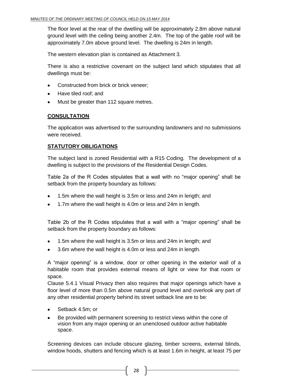The floor level at the rear of the dwelling will be approximately 2.8m above natural ground level with the ceiling being another 2.4m. The top of the gable roof will be approximately 7.0m above ground level. The dwelling is 24m in length.

The western elevation plan is contained as Attachment 3.

There is also a restrictive covenant on the subject land which stipulates that all dwellings must be:

- Constructed from brick or brick veneer;
- Have tiled roof; and  $\bullet$
- Must be greater than 112 square metres.

#### **CONSULTATION**

The application was advertised to the surrounding landowners and no submissions were received.

#### **STATUTORY OBLIGATIONS**

The subject land is zoned Residential with a R15 Coding. The development of a dwelling is subject to the provisions of the Residential Design Codes.

Table 2a of the R Codes stipulates that a wall with no "major opening" shall be setback from the property boundary as follows:

- 1.5m where the wall height is 3.5m or less and 24m in length; and  $\bullet$
- 1.7m where the wall height is 4.0m or less and 24m in length.

Table 2b of the R Codes stipulates that a wall with a "major opening" shall be setback from the property boundary as follows:

- 1.5m where the wall height is 3.5m or less and 24m in length; and
- 3.6m where the wall height is 4.0m or less and 24m in length.  $\bullet$

A "major opening" is a window, door or other opening in the exterior wall of a habitable room that provides external means of light or view for that room or space.

Clause 5.4.1 Visual Privacy then also requires that major openings which have a floor level of more than 0.5m above natural ground level and overlook any part of any other residential property behind its street setback line are to be:

- Setback 4.5m; or
- Be provided with permanent screening to restrict views within the cone of vision from any major opening or an unenclosed outdoor active habitable space.

Screening devices can include obscure glazing, timber screens, external blinds, window hoods, shutters and fencing which is at least 1.6m in height, at least 75 per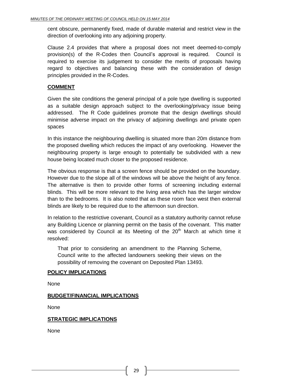cent obscure, permanently fixed, made of durable material and restrict view in the direction of overlooking into any adjoining property.

Clause 2.4 provides that where a proposal does not meet deemed-to-comply provision(s) of the R-Codes then Council's approval is required. Council is required to exercise its judgement to consider the merits of proposals having regard to objectives and balancing these with the consideration of design principles provided in the R-Codes.

#### **COMMENT**

Given the site conditions the general principal of a pole type dwelling is supported as a suitable design approach subject to the overlooking/privacy issue being addressed. The R Code guidelines promote that the design dwellings should minimise adverse impact on the privacy of adjoining dwellings and private open spaces

In this instance the neighbouring dwelling is situated more than 20m distance from the proposed dwelling which reduces the impact of any overlooking. However the neighbouring property is large enough to potentially be subdivided with a new house being located much closer to the proposed residence.

The obvious response is that a screen fence should be provided on the boundary. However due to the slope all of the windows will be above the height of any fence. The alternative is then to provide other forms of screening including external blinds. This will be more relevant to the living area which has the larger window than to the bedrooms. It is also noted that as these room face west then external blinds are likely to be required due to the afternoon sun direction.

In relation to the restrictive covenant, Council as a statutory authority cannot refuse any Building Licence or planning permit on the basis of the covenant. This matter was considered by Council at its Meeting of the  $20<sup>th</sup>$  March at which time it resolved:

That prior to considering an amendment to the Planning Scheme, Council write to the affected landowners seeking their views on the possibility of removing the covenant on Deposited Plan 13493.

#### **POLICY IMPLICATIONS**

None

#### **BUDGET/FINANCIAL IMPLICATIONS**

None

#### **STRATEGIC IMPLICATIONS**

None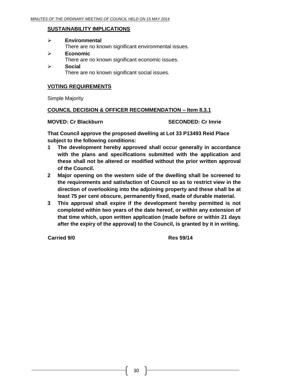#### **SUSTAINABILITY IMPLICATIONS**

| <b>Environmental</b>                                 |
|------------------------------------------------------|
| There are no known significant environmental issues. |
| Economic                                             |

- There are no known significant economic issues.
- **Social**  There are no known significant social issues.

#### **VOTING REQUIREMENTS**

Simple Majority

#### **COUNCIL DECISION & OFFICER RECOMMENDATION – Item 8.3.1**

**MOVED: Cr Blackburn SECONDED: Cr Imrie**

**That Council approve the proposed dwelling at Lot 33 P13493 Reid Place subject to the following conditions:**

- **1 The development hereby approved shall occur generally in accordance with the plans and specifications submitted with the application and these shall not be altered or modified without the prior written approval of the Council.**
- **2 Major opening on the western side of the dwelling shall be screened to the requirements and satisfaction of Council so as to restrict view in the direction of overlooking into the adjoining property and these shall be at least 75 per cent obscure, permanently fixed, made of durable material.**
- **3 This approval shall expire if the development hereby permitted is not completed within two years of the date hereof, or within any extension of that time which, upon written application (made before or within 21 days after the expiry of the approval) to the Council, is granted by it in writing.**

**Carried 9/0 Res 59/14**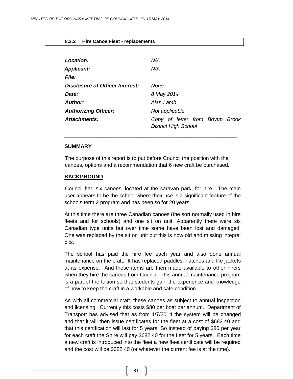#### <span id="page-30-0"></span>**8.3.2 Hire Canoe Fleet - replacements**

| Location:                              | N/A                                                            |
|----------------------------------------|----------------------------------------------------------------|
| <b>Applicant:</b>                      | N/A                                                            |
| <b>File:</b>                           |                                                                |
| <b>Disclosure of Officer Interest:</b> | None                                                           |
| Date:                                  | 8 May 2014                                                     |
| <b>Author:</b>                         | Alan Lamb                                                      |
| <b>Authorizing Officer:</b>            | Not applicable                                                 |
| Attachments:                           | Copy of letter from Boyup Brook<br><b>District High School</b> |

#### **SUMMARY**

The purpose of this report is to put before Council the position with the canoes, options and a recommendation that 6 new craft be purchased.

\_\_\_\_\_\_\_\_\_\_\_\_\_\_\_\_\_\_\_\_\_\_\_\_\_\_\_\_\_\_\_\_\_\_\_\_\_\_\_\_\_\_\_\_\_\_\_\_\_\_\_\_\_\_\_\_\_\_\_

#### **BACKGROUND**

Council had six canoes, located at the caravan park, for hire. The main user appears to be the school where their use is a significant feature of the schools term 2 program and has been so for 20 years.

At this time there are three Canadian canoes (the sort normally used in hire fleets and for schools) and one sit on unit. Apparently there were six Canadian type units but over time some have been lost and damaged. One was replaced by the sit on unit but this is now old and missing integral bits.

The school has paid the hire fee each year and also done annual maintenance on the craft. It has replaced paddles, hatches and life jackets at its expense. And these items are then made available to other hirers when they hire the canoes from Council. This annual maintenance program is a part of the tuition so that students gain the experience and knowledge of how to keep the craft in a workable and safe condition.

As with all commercial craft, these canoes as subject to annual inspection and licensing. Currently this costs \$80 per boat per annum. Department of Transport has advised that as from 1/7/2014 the system will be changed and that it will then issue certificates for the fleet at a cost of \$682.40 and that this certification will last for 5 years. So instead of paying \$80 per year for each craft the Shire will pay \$682.40 for the fleet for 5 years. Each time a new craft is introduced into the fleet a new fleet certificate will be required and the cost will be \$682.40 (or whatever the current fee is at the time).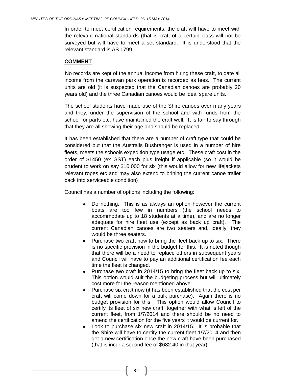In order to meet certification requirements, the craft will have to meet with the relevant national standards (that is craft of a certain class will not be surveyed but will have to meet a set standard. It is understood that the relevant standard is AS 1799.

#### **COMMENT**

No records are kept of the annual income from hiring these craft, to date all income from the caravan park operation is recorded as fees. The current units are old (it is suspected that the Canadian canoes are probably 20 years old) and the three Canadian canoes would be ideal spare units.

The school students have made use of the Shire canoes over many years and they, under the supervision of the school and with funds from the school for parts etc, have maintained the craft well. It is fair to say through that they are all showing their age and should be replaced.

It has been established that there are a number of craft type that could be considered but that the Australis Bushranger is used in a number of hire fleets, meets the schools expedition type usage etc. These craft cost in the order of \$1450 (ex GST) each plus freight if applicable (so it would be prudent to work on say \$10,000 for six (this would allow for new lifejackets relevant ropes etc and may also extend to brining the current canoe trailer back into serviceable condition)

Council has a number of options including the following:

- Do nothing. This is as always an option however the current boats are too few in numbers (the school needs to accommodate up to 18 students at a time), and are no longer adequate for hire fleet use (except as back up craft). The current Canadian canoes are two seaters and, ideally, they would be three seaters.
- Purchase two craft now to bring the fleet back up to six. There is no specific provision in the budget for this. It is noted though that there will be a need to replace others in subsequent years and Council will have to pay an additional certification fee each time the fleet is changed.
- Purchase two craft in 2014/15 to bring the fleet back up to six. This option would suit the budgeting process but will ultimately cost more for the reason mentioned above.
- Purchase six craft now (it has been established that the cost per craft will come down for a bulk purchase). Again there is no budget provision for this. This option would allow Council to certify its fleet of six new craft, together with what is left of the current fleet, from 1/7/2014 and there should be no need to amend the certification for the five years it would be current for.
- Look to purchase six new craft in 2014/15. It is probable that the Shire will have to certify the current fleet 1/7/2014 and then get a new certification once the new craft have been purchased (that is incur a second fee of \$682.40 in that year).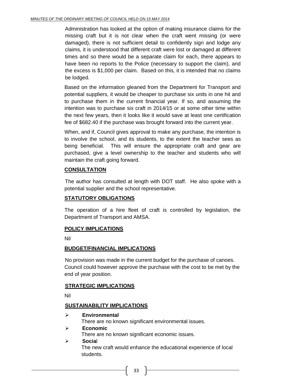Administration has looked at the option of making insurance claims for the missing craft but it is not clear when the craft went missing (or were damaged), there is not sufficient detail to confidently sign and lodge any claims, it is understood that different craft were lost or damaged at different times and so there would be a separate claim for each, there appears to have been no reports to the Police (necessary to support the claim), and the excess is \$1,000 per claim. Based on this, it is intended that no claims be lodged.

Based on the information gleaned from the Department for Transport and potential suppliers, it would be cheaper to purchase six units in one hit and to purchase them in the current financial year. If so, and assuming the intention was to purchase six craft in 2014/15 or at some other time within the next few years, then it looks like it would save at least one certification fee of \$682.40 if the purchase was brought forward into the current year.

When, and if, Council gives approval to make any purchase, the intention is to involve the school, and its students, to the extent the teacher sees as being beneficial. This will ensure the appropriate craft and gear are purchased, give a level ownership to the teacher and students who will maintain the craft going forward.

#### **CONSULTATION**

The author has consulted at length with DOT staff. He also spoke with a potential supplier and the school representative.

#### **STATUTORY OBLIGATIONS**

The operation of a hire fleet of craft is controlled by legislation, the Department of Transport and AMSA.

#### **POLICY IMPLICATIONS**

Nil

#### **BUDGET/FINANCIAL IMPLICATIONS**

No provision was made in the current budget for the purchase of canoes. Council could however approve the purchase with the cost to be met by the end of year position.

#### **STRATEGIC IMPLICATIONS**

Nil

#### **SUSTAINABILITY IMPLICATIONS**

**Environmental**

There are no known significant environmental issues.

**Economic**

There are no known significant economic issues.

 **Socia**l The new craft would enhance the educational experience of local students.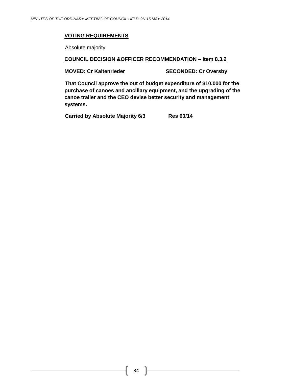#### **VOTING REQUIREMENTS**

Absolute majority

#### **COUNCIL DECISION &OFFICER RECOMMENDATION – Item 8.3.2**

**MOVED: Cr Kaltenrieder SECONDED: Cr Oversby**

**That Council approve the out of budget expenditure of \$10,000 for the purchase of canoes and ancillary equipment, and the upgrading of the canoe trailer and the CEO devise better security and management systems.**

**Carried by Absolute Majority 6/3 Res 60/14**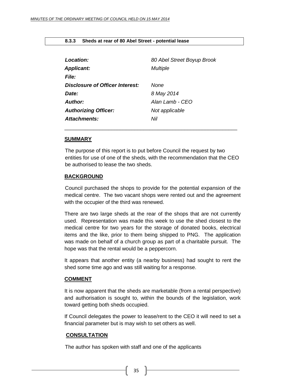#### <span id="page-34-0"></span>**8.3.3 Sheds at rear of 80 Abel Street - potential lease**

| 80 Abel Street Boyup Brook<br><b>Multiple</b> |
|-----------------------------------------------|
| None<br>8 May 2014                            |
| Alan Lamb - CEO<br>Not applicable<br>Nil      |
|                                               |

#### **SUMMARY**

The purpose of this report is to put before Council the request by two entities for use of one of the sheds, with the recommendation that the CEO be authorised to lease the two sheds.

\_\_\_\_\_\_\_\_\_\_\_\_\_\_\_\_\_\_\_\_\_\_\_\_\_\_\_\_\_\_\_\_\_\_\_\_\_\_\_\_\_\_\_\_\_\_\_\_\_\_\_\_\_\_\_\_\_\_\_

#### **BACKGROUND**

Council purchased the shops to provide for the potential expansion of the medical centre. The two vacant shops were rented out and the agreement with the occupier of the third was renewed.

There are two large sheds at the rear of the shops that are not currently used. Representation was made this week to use the shed closest to the medical centre for two years for the storage of donated books, electrical items and the like, prior to them being shipped to PNG. The application was made on behalf of a church group as part of a charitable pursuit. The hope was that the rental would be a peppercorn.

It appears that another entity (a nearby business) had sought to rent the shed some time ago and was still waiting for a response.

#### **COMMENT**

It is now apparent that the sheds are marketable (from a rental perspective) and authorisation is sought to, within the bounds of the legislation, work toward getting both sheds occupied.

If Council delegates the power to lease/rent to the CEO it will need to set a financial parameter but is may wish to set others as well.

#### **CONSULTATION**

The author has spoken with staff and one of the applicants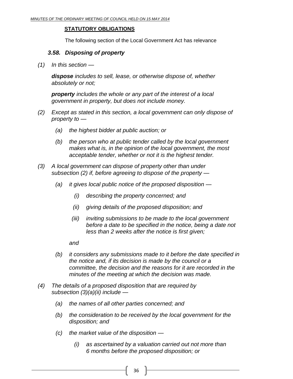#### **STATUTORY OBLIGATIONS**

The following section of the Local Government Act has relevance

#### *3.58. Disposing of property*

*(1) In this section —*

*dispose includes to sell, lease, or otherwise dispose of, whether absolutely or not;*

*property includes the whole or any part of the interest of a local government in property, but does not include money.*

- *(2) Except as stated in this section, a local government can only dispose of property to —*
	- *(a) the highest bidder at public auction; or*
	- *(b) the person who at public tender called by the local government makes what is, in the opinion of the local government, the most acceptable tender, whether or not it is the highest tender.*
- *(3) A local government can dispose of property other than under subsection (2) if, before agreeing to dispose of the property —*
	- *(a) it gives local public notice of the proposed disposition —*
		- *(i) describing the property concerned; and*
		- *(ii) giving details of the proposed disposition; and*
		- *(iii) inviting submissions to be made to the local government before a date to be specified in the notice, being a date not less than 2 weeks after the notice is first given;*

*and*

- *(b) it considers any submissions made to it before the date specified in the notice and, if its decision is made by the council or a committee, the decision and the reasons for it are recorded in the minutes of the meeting at which the decision was made.*
- *(4) The details of a proposed disposition that are required by subsection (3)(a)(ii) include —*
	- *(a) the names of all other parties concerned; and*
	- *(b) the consideration to be received by the local government for the disposition; and*
	- *(c) the market value of the disposition —*
		- *(i) as ascertained by a valuation carried out not more than 6 months before the proposed disposition; or*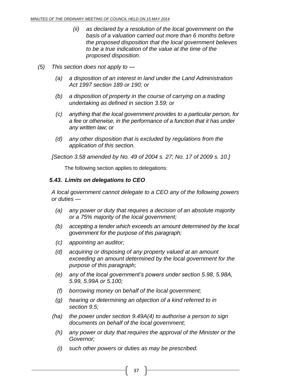- *(ii) as declared by a resolution of the local government on the basis of a valuation carried out more than 6 months before the proposed disposition that the local government believes to be a true indication of the value at the time of the proposed disposition.*
- *(5) This section does not apply to —*
	- *(a) a disposition of an interest in land under the Land Administration Act 1997 section 189 or 190; or*
	- *(b) a disposition of property in the course of carrying on a trading undertaking as defined in section 3.59; or*
	- *(c) anything that the local government provides to a particular person, for a fee or otherwise, in the performance of a function that it has under any written law; or*
	- *(d) any other disposition that is excluded by regulations from the application of this section.*

*[Section 3.58 amended by No. 49 of 2004 s. 27; No. 17 of 2009 s. 10.]*

The following section applies to delegations:

## *5.43. Limits on delegations to CEO*

*A local government cannot delegate to a CEO any of the following powers or duties —*

- *(a) any power or duty that requires a decision of an absolute majority or a 75% majority of the local government;*
- *(b) accepting a tender which exceeds an amount determined by the local government for the purpose of this paragraph;*
- *(c) appointing an auditor;*
- *(d) acquiring or disposing of any property valued at an amount exceeding an amount determined by the local government for the purpose of this paragraph;*
- *(e) any of the local government's powers under section 5.98, 5.98A, 5.99, 5.99A or 5.100;*
- *(f) borrowing money on behalf of the local government;*
- *(g) hearing or determining an objection of a kind referred to in section 9.5;*
- *(ha) the power under section 9.49A(4) to authorise a person to sign documents on behalf of the local government;*
- *(h) any power or duty that requires the approval of the Minister or the Governor;*
- *(i) such other powers or duties as may be prescribed.*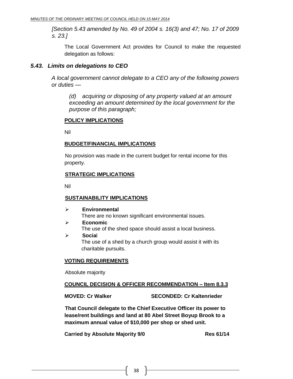*[Section 5.43 amended by No. 49 of 2004 s. 16(3) and 47; No. 17 of 2009 s. 23.]*

The Local Government Act provides for Council to make the requested delegation as follows:

#### *5.43. Limits on delegations to CEO*

*A local government cannot delegate to a CEO any of the following powers or duties —*

*(d) acquiring or disposing of any property valued at an amount exceeding an amount determined by the local government for the purpose of this paragraph;*

#### **POLICY IMPLICATIONS**

Nil

#### **BUDGET/FINANCIAL IMPLICATIONS**

No provision was made in the current budget for rental income for this property.

#### **STRATEGIC IMPLICATIONS**

Nil

#### **SUSTAINABILITY IMPLICATIONS**

- **Environmental** There are no known significant environmental issues.
- **Economic** The use of the shed space should assist a local business. **Socia**l
	- The use of a shed by a church group would assist it with its charitable pursuits.

#### **VOTING REQUIREMENTS**

Absolute majority

#### **COUNCIL DECISION & OFFICER RECOMMENDATION – Item 8.3.3**

**MOVED: Cr Walker SECONDED: Cr Kaltenrieder** 

**That Council delegate to the Chief Executive Officer its power to lease/rent buildings and land at 80 Abel Street Boyup Brook to a maximum annual value of \$10,000 per shop or shed unit.**

**Carried by Absolute Majority 9/0 Res 61/14**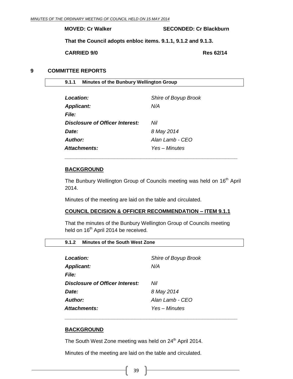**MOVED: Cr Walker SECONDED: Cr Blackburn**

**That the Council adopts enbloc items. 9.1.1, 9.1.2 and 9.1.3.**

**CARRIED 9/0 Res 62/14**

#### <span id="page-38-0"></span>**9 COMMITTEE REPORTS**

<span id="page-38-1"></span>

| 9.1.1 Minutes of the Bunbury Wellington Group |  |
|-----------------------------------------------|--|
|-----------------------------------------------|--|

| Location:                       | Shire of Boyup Brook |
|---------------------------------|----------------------|
| <b>Applicant:</b>               | N/A                  |
| <i>File:</i>                    |                      |
| Disclosure of Officer Interest: | Nil                  |
| Date:                           | 8 May 2014           |
| Author:                         | Alan Lamb - CEO      |
| <b>Attachments:</b>             | Yes – Minutes        |

#### **BACKGROUND**

The Bunbury Wellington Group of Councils meeting was held on 16<sup>th</sup> April 2014.

*\_\_\_\_\_\_\_\_\_\_\_\_\_\_\_\_\_\_\_\_\_\_\_\_\_\_\_\_\_\_\_\_\_\_\_\_\_\_\_\_\_\_\_\_\_\_\_\_\_\_\_\_\_\_\_\_\_\_\_*

Minutes of the meeting are laid on the table and circulated.

#### **COUNCIL DECISION & OFFICER RECOMMENDATION – ITEM 9.1.1**

That the minutes of the Bunbury Wellington Group of Councils meeting held on 16<sup>th</sup> April 2014 be received.

*\_\_\_\_\_\_\_\_\_\_\_\_\_\_\_\_\_\_\_\_\_\_\_\_\_\_\_\_\_\_\_\_\_\_\_\_\_\_\_\_\_\_\_\_\_\_\_\_\_\_\_\_\_\_\_\_\_\_\_*

#### <span id="page-38-2"></span>**9.1.2 Minutes of the South West Zone**

| Location:                              | Shire of Boyup Brook |
|----------------------------------------|----------------------|
| <b>Applicant:</b>                      | N/A                  |
| <i>File:</i>                           |                      |
| <b>Disclosure of Officer Interest:</b> | Nil                  |
| Date:                                  | 8 May 2014           |
| <b>Author:</b>                         | Alan Lamb - CEO      |
| <b>Attachments:</b>                    | Yes – Minutes        |

#### **BACKGROUND**

The South West Zone meeting was held on 24<sup>th</sup> April 2014.

Minutes of the meeting are laid on the table and circulated.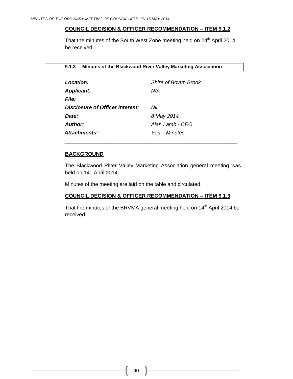#### **COUNCIL DECISION & OFFICER RECOMMENDATION – ITEM 9.1.2**

That the minutes of the South West Zone meeting held on 24<sup>th</sup> April 2014 be received.

<span id="page-39-0"></span>**9.1.3 Minutes of the Blackwood River Valley Marketing Association** 

| Location:                       | Shire of Boyup Brook |
|---------------------------------|----------------------|
| <b>Applicant:</b>               | N/A                  |
| <i>File:</i>                    |                      |
| Disclosure of Officer Interest: | Nil                  |
| Date:                           | 8 May 2014           |
| Author:                         | Alan Lamb - CEO      |
| <b>Attachments:</b>             | Yes – Minutes        |

#### **BACKGROUND**

The Blackwood River Valley Marketing Association general meeting was held on 14<sup>th</sup> April 2014.

*\_\_\_\_\_\_\_\_\_\_\_\_\_\_\_\_\_\_\_\_\_\_\_\_\_\_\_\_\_\_\_\_\_\_\_\_\_\_\_\_\_\_\_\_\_\_\_\_\_\_\_\_\_\_\_\_\_\_\_*

Minutes of the meeting are laid on the table and circulated.

#### **COUNCIL DECISION & OFFICER RECOMMENDATION – ITEM 9.1.3**

That the minutes of the BRVMA general meeting held on 14<sup>th</sup> April 2014 be received.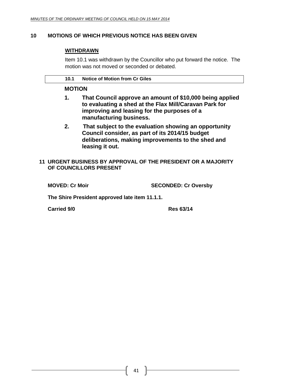#### <span id="page-40-0"></span>**10 MOTIONS OF WHICH PREVIOUS NOTICE HAS BEEN GIVEN**

#### **WITHDRAWN**

Item 10.1 was withdrawn by the Councillor who put forward the notice. The motion was not moved or seconded or debated.

| <b>Notice of Motion from Cr Giles</b> |
|---------------------------------------|
|                                       |

#### <span id="page-40-1"></span>**MOTION**

- **1. That Council approve an amount of \$10,000 being applied to evaluating a shed at the Flax Mill/Caravan Park for improving and leasing for the purposes of a manufacturing business.**
- **2. That subject to the evaluation showing an opportunity Council consider, as part of its 2014/15 budget deliberations, making improvements to the shed and leasing it out.**
- <span id="page-40-2"></span>**11 URGENT BUSINESS BY APPROVAL OF THE PRESIDENT OR A MAJORITY OF COUNCILLORS PRESENT**

**MOVED: Cr Moir SECONDED: Cr Oversby**

**The Shire President approved late item 11.1.1.**

**Carried 9/0 Res 63/14**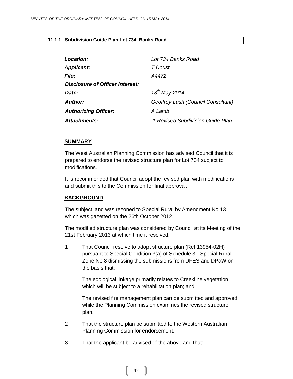#### <span id="page-41-0"></span>**11.1.1 Subdivision Guide Plan Lot 734, Banks Road**

| <b>Location:</b>                | Lot 734 Banks Road                 |  |
|---------------------------------|------------------------------------|--|
| <b>Applicant:</b>               | T Doust                            |  |
| <b>File:</b>                    | A4472                              |  |
| Disclosure of Officer Interest: |                                    |  |
| Date:                           | $13^{th}$ May 2014                 |  |
| Author:                         | Geoffrey Lush (Council Consultant) |  |
| <b>Authorizing Officer:</b>     | A Lamb                             |  |
| Attachments:                    | 1 Revised Subdivision Guide Plan   |  |
|                                 |                                    |  |

#### **SUMMARY**

The West Australian Planning Commission has advised Council that it is prepared to endorse the revised structure plan for Lot 734 subject to modifications.

*\_\_\_\_\_\_\_\_\_\_\_\_\_\_\_\_\_\_\_\_\_\_\_\_\_\_\_\_\_\_\_\_\_\_\_\_\_\_\_\_\_\_\_\_\_\_\_\_\_\_\_\_\_\_\_\_\_\_\_*

It is recommended that Council adopt the revised plan with modifications and submit this to the Commission for final approval.

#### **BACKGROUND**

The subject land was rezoned to Special Rural by Amendment No 13 which was gazetted on the 26th October 2012.

The modified structure plan was considered by Council at its Meeting of the 21st February 2013 at which time it resolved:

1 That Council resolve to adopt structure plan (Ref 13954-02H) pursuant to Special Condition 3(a) of Schedule 3 - Special Rural Zone No 8 dismissing the submissions from DFES and DPaW on the basis that:

The ecological linkage primarily relates to Creekline vegetation which will be subject to a rehabilitation plan; and

The revised fire management plan can be submitted and approved while the Planning Commission examines the revised structure plan.

- 2 That the structure plan be submitted to the Western Australian Planning Commission for endorsement.
- 3. That the applicant be advised of the above and that: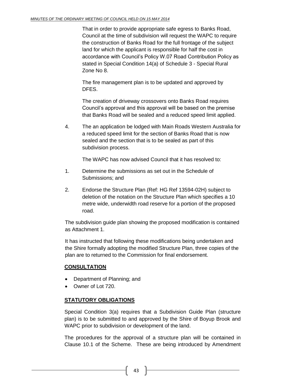That in order to provide appropriate safe egress to Banks Road, Council at the time of subdivision will request the WAPC to require the construction of Banks Road for the full frontage of the subject land for which the applicant is responsible for half the cost in accordance with Council's Policy W.07 Road Contribution Policy as stated in Special Condition 14(a) of Schedule 3 - Special Rural Zone No 8.

The fire management plan is to be updated and approved by DFES.

The creation of driveway crossovers onto Banks Road requires Council's approval and this approval will be based on the premise that Banks Road will be sealed and a reduced speed limit applied.

4. The an application be lodged with Main Roads Western Australia for a reduced speed limit for the section of Banks Road that is now sealed and the section that is to be sealed as part of this subdivision process.

The WAPC has now advised Council that it has resolved to:

- 1. Determine the submissions as set out in the Schedule of Submissions; and
- 2. Endorse the Structure Plan (Ref: HG Ref 13594-02H) subject to deletion of the notation on the Structure Plan which specifies a 10 metre wide, underwidth road reserve for a portion of the proposed road.

The subdivision guide plan showing the proposed modification is contained as Attachment 1.

It has instructed that following these modifications being undertaken and the Shire formally adopting the modified Structure Plan, three copies of the plan are to returned to the Commission for final endorsement.

#### **CONSULTATION**

- Department of Planning; and
- Owner of Lot 720.

#### **STATUTORY OBLIGATIONS**

Special Condition 3(a) requires that a Subdivision Guide Plan (structure plan) is to be submitted to and approved by the Shire of Boyup Brook and WAPC prior to subdivision or development of the land.

The procedures for the approval of a structure plan will be contained in Clause 10.1 of the Scheme. These are being introduced by Amendment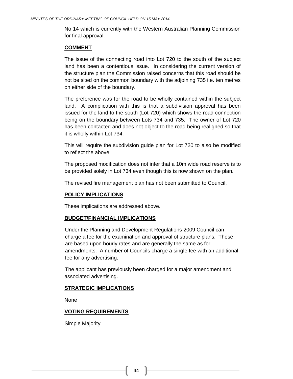No 14 which is currently with the Western Australian Planning Commission for final approval.

#### **COMMENT**

The issue of the connecting road into Lot 720 to the south of the subject land has been a contentious issue. In considering the current version of the structure plan the Commission raised concerns that this road should be not be sited on the common boundary with the adjoining 735 i.e. ten metres on either side of the boundary.

The preference was for the road to be wholly contained within the subject land. A complication with this is that a subdivision approval has been issued for the land to the south (Lot 720) which shows the road connection being on the boundary between Lots 734 and 735. The owner of Lot 720 has been contacted and does not object to the road being realigned so that it is wholly within Lot 734.

This will require the subdivision guide plan for Lot 720 to also be modified to reflect the above.

The proposed modification does not infer that a 10m wide road reserve is to be provided solely in Lot 734 even though this is now shown on the plan.

The revised fire management plan has not been submitted to Council.

#### **POLICY IMPLICATIONS**

These implications are addressed above.

#### **BUDGET/FINANCIAL IMPLICATIONS**

Under the Planning and Development Regulations 2009 Council can charge a fee for the examination and approval of structure plans. These are based upon hourly rates and are generally the same as for amendments. A number of Councils charge a single fee with an additional fee for any advertising.

The applicant has previously been charged for a major amendment and associated advertising.

#### **STRATEGIC IMPLICATIONS**

None

#### **VOTING REQUIREMENTS**

Simple Majority